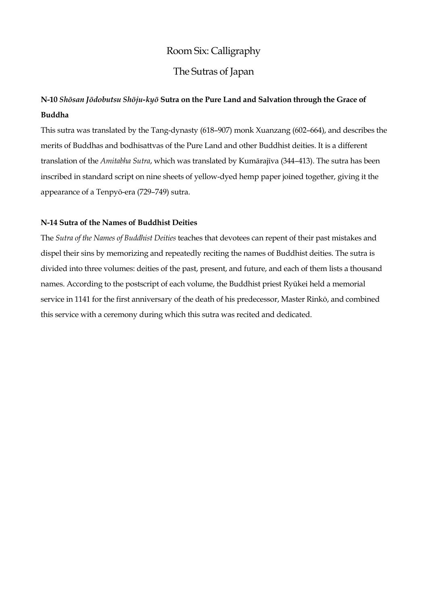## Room Six: Calligraphy

## The Sutras of Japan

## **N-10** *Shōsan Jōdobutsu Shōju-kyō* **Sutra on the Pure Land and Salvation through the Grace of Buddha**

This sutra was translated by the Tang-dynasty (618–907) monk Xuanzang (602–664), and describes the merits of Buddhas and bodhisattvas of the Pure Land and other Buddhist deities. It is a different translation of the *Amitabha Sutra*, which was translated by Kumārajīva (344–413). The sutra has been inscribed in standard script on nine sheets of yellow-dyed hemp paper joined together, giving it the appearance of a Tenpyō-era (729–749) sutra.

#### **N-14 Sutra of the Names of Buddhist Deities**

The *Sutra of the Names of Buddhist Deities* teaches that devotees can repent of their past mistakes and dispel their sins by memorizing and repeatedly reciting the names of Buddhist deities. The sutra is divided into three volumes: deities of the past, present, and future, and each of them lists a thousand names. According to the postscript of each volume, the Buddhist priest Ryūkei held a memorial service in 1141 for the first anniversary of the death of his predecessor, Master Rinkō, and combined this service with a ceremony during which this sutra was recited and dedicated.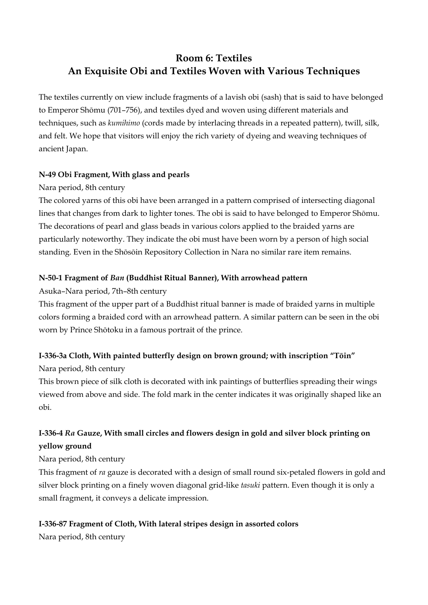# **Room 6: Textiles An Exquisite Obi and Textiles Woven with Various Techniques**

The textiles currently on view include fragments of a lavish obi (sash) that is said to have belonged to Emperor Shōmu (701–756), and textiles dyed and woven using different materials and techniques, such as *kumihimo* (cords made by interlacing threads in a repeated pattern), twill, silk, and felt. We hope that visitors will enjoy the rich variety of dyeing and weaving techniques of ancient Japan.

### **N-49 Obi Fragment, With glass and pearls**

### Nara period, 8th century

The colored yarns of this obi have been arranged in a pattern comprised of intersecting diagonal lines that changes from dark to lighter tones. The obi is said to have belonged to Emperor Shōmu. The decorations of pearl and glass beads in various colors applied to the braided yarns are particularly noteworthy. They indicate the obi must have been worn by a person of high social standing. Even in the Shōsōin Repository Collection in Nara no similar rare item remains.

### **N-50-1 Fragment of** *Ban* **(Buddhist Ritual Banner), With arrowhead pattern**

Asuka–Nara period, 7th–8th century

This fragment of the upper part of a Buddhist ritual banner is made of braided yarns in multiple colors forming a braided cord with an arrowhead pattern. A similar pattern can be seen in the obi worn by Prince Shōtoku in a famous portrait of the prince.

### **I-336-3a Cloth, With painted butterfly design on brown ground; with inscription "Tōin"**

Nara period, 8th century

This brown piece of silk cloth is decorated with ink paintings of butterflies spreading their wings viewed from above and side. The fold mark in the center indicates it was originally shaped like an obi.

## **I-336-4** *Ra* **Gauze, With small circles and flowers design in gold and silver block printing on yellow ground**

Nara period, 8th century

This fragment of *ra* gauze is decorated with a design of small round six-petaled flowers in gold and silver block printing on a finely woven diagonal grid-like *tasuki* pattern. Even though it is only a small fragment, it conveys a delicate impression.

### **I-336-87 Fragment of Cloth, With lateral stripes design in assorted colors**

Nara period, 8th century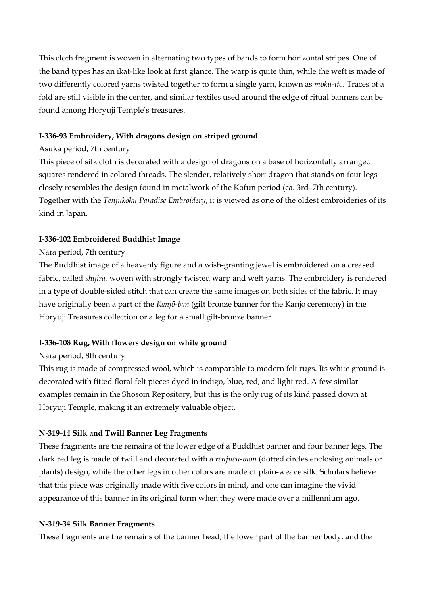This cloth fragment is woven in alternating two types of bands to form horizontal stripes. One of the band types has an ikat-like look at first glance. The warp is quite thin, while the weft is made of two differently colored yarns twisted together to form a single yarn, known as *moku-ito*. Traces of a fold are still visible in the center, and similar textiles used around the edge of ritual banners can be found among Hōryūji Temple's treasures.

#### **I-336-93 Embroidery, With dragons design on striped ground**

#### Asuka period, 7th century

This piece of silk cloth is decorated with a design of dragons on a base of horizontally arranged squares rendered in colored threads. The slender, relatively short dragon that stands on four legs closely resembles the design found in metalwork of the Kofun period (ca. 3rd–7th century). Together with the *Tenjukoku Paradise Embroidery*, it is viewed as one of the oldest embroideries of its kind in Japan.

#### **I-336-102 Embroidered Buddhist Image**

#### Nara period, 7th century

The Buddhist image of a heavenly figure and a wish-granting jewel is embroidered on a creased fabric, called *shijira*, woven with strongly twisted warp and weft yarns. The embroidery is rendered in a type of double-sided stitch that can create the same images on both sides of the fabric. It may have originally been a part of the *Kanjō-ban* (gilt bronze banner for the Kanjō ceremony) in the Hōryūji Treasures collection or a leg for a small gilt-bronze banner.

#### **I-336-108 Rug, With flowers design on white ground**

#### Nara period, 8th century

This rug is made of compressed wool, which is comparable to modern felt rugs. Its white ground is decorated with fitted floral felt pieces dyed in indigo, blue, red, and light red. A few similar examples remain in the Shōsōin Repository, but this is the only rug of its kind passed down at Hōryūji Temple, making it an extremely valuable object.

#### **N-319-14 Silk and Twill Banner Leg Fragments**

These fragments are the remains of the lower edge of a Buddhist banner and four banner legs. The dark red leg is made of twill and decorated with a *renjuen-mon* (dotted circles enclosing animals or plants) design, while the other legs in other colors are made of plain-weave silk. Scholars believe that this piece was originally made with five colors in mind, and one can imagine the vivid appearance of this banner in its original form when they were made over a millennium ago.

#### **N-319-34 Silk Banner Fragments**

These fragments are the remains of the banner head, the lower part of the banner body, and the